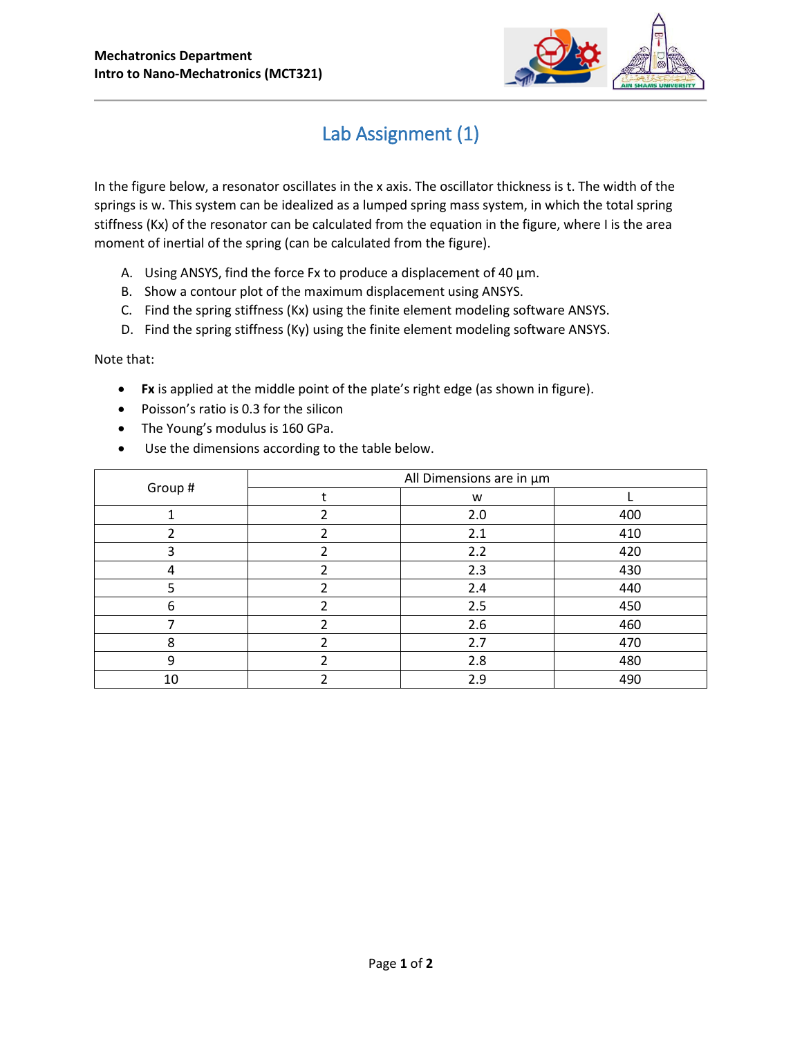

## Lab Assignment (1)

In the figure below, a resonator oscillates in the x axis. The oscillator thickness is t. The width of the springs is w. This system can be idealized as a lumped spring mass system, in which the total spring stiffness (Kx) of the resonator can be calculated from the equation in the figure, where I is the area moment of inertial of the spring (can be calculated from the figure).

- A. Using ANSYS, find the force Fx to produce a displacement of 40  $\mu$ m.
- B. Show a contour plot of the maximum displacement using ANSYS.
- C. Find the spring stiffness (Kx) using the finite element modeling software ANSYS.
- D. Find the spring stiffness (Ky) using the finite element modeling software ANSYS.

Note that:

- **Fx** is applied at the middle point of the plate's right edge (as shown in figure).
- Poisson's ratio is 0.3 for the silicon
- The Young's modulus is 160 GPa.
- Use the dimensions according to the table below.

| Group # | All Dimensions are in µm |     |     |
|---------|--------------------------|-----|-----|
|         |                          | W   |     |
|         |                          | 2.0 | 400 |
|         |                          | 2.1 | 410 |
| ੨       |                          | 2.2 | 420 |
|         |                          | 2.3 | 430 |
|         |                          | 2.4 | 440 |
| 6       |                          | 2.5 | 450 |
|         |                          | 2.6 | 460 |
| 8       |                          | 2.7 | 470 |
| 9       |                          | 2.8 | 480 |
| 10      |                          | 2.9 | 490 |